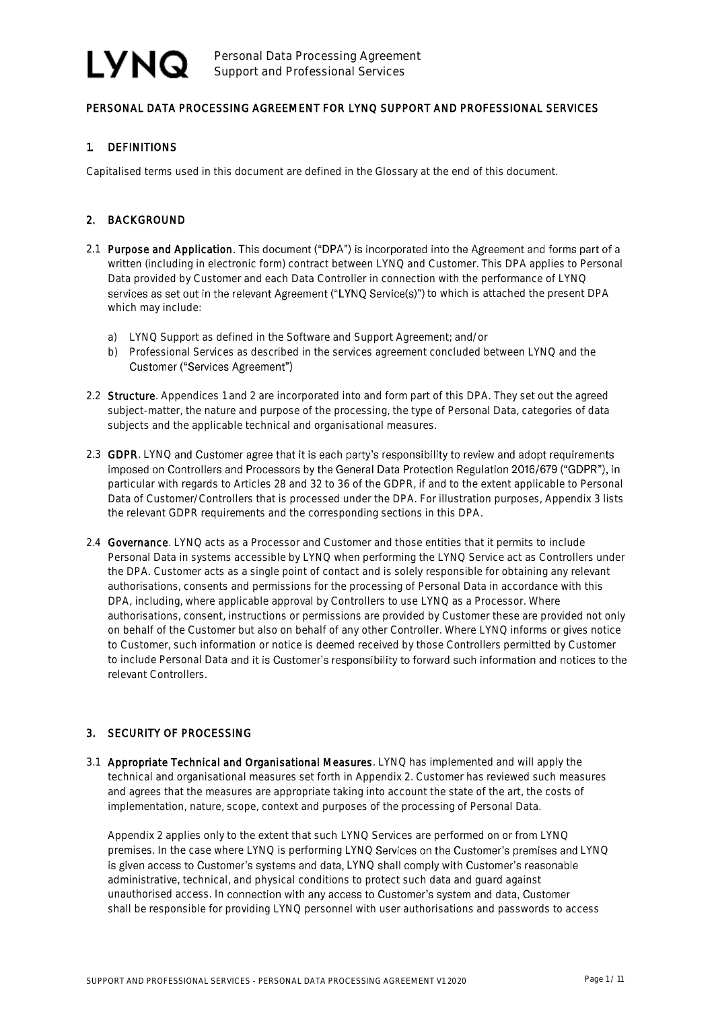### PERSONAL DATA PROCESSING AGREEMENT FOR LYNQ SUPPORT AND PROFESSIONAL SERVICES

### 1. DEFINITIONS

Capitalised terms used in this document are defined in the Glossary at the end of this document.

### 2. BACKGROUND

- 2.1 Purpose and Application. This document ("DPA") is incorporated into the Agreement and forms part of a written (including in electronic form) contract between LYNQ and Customer. This DPA applies to Personal Data provided by Customer and each Data Controller in connection with the performance of LYNQ services as set out in the relevant Agreement ("LYNQ Service(s)") to which is attached the present DPA which may include:
	- a) LYNQ Support as defined in the Software and Support Agreement; and/or
	- b) Professional Services as described in the services agreement concluded between LYNQ and the Customer ("Services Agreement")
- 2.2 Structure. Appendices 1 and 2 are incorporated into and form part of this DPA. They set out the agreed subject-matter, the nature and purpose of the processing, the type of Personal Data, categories of data subjects and the applicable technical and organisational measures.
- 2.3 GDPR. LYNQ and Customer agree that it is each party's responsibility to review and adopt requirements imposed on Controllers and Processors by the General Data Protection Regulation 2016/679 ("GDPR"), in particular with regards to Articles 28 and 32 to 36 of the GDPR, if and to the extent applicable to Personal Data of Customer/Controllers that is processed under the DPA. For illustration purposes, Appendix 3 lists the relevant GDPR requirements and the corresponding sections in this DPA.
- 2.4 Governance. LYNQ acts as a Processor and Customer and those entities that it permits to include Personal Data in systems accessible by LYNQ when performing the LYNQ Service act as Controllers under the DPA. Customer acts as a single point of contact and is solely responsible for obtaining any relevant authorisations, consents and permissions for the processing of Personal Data in accordance with this DPA, including, where applicable approval by Controllers to use LYNQ as a Processor. Where authorisations, consent, instructions or permissions are provided by Customer these are provided not only on behalf of the Customer but also on behalf of any other Controller. Where LYNQ informs or gives notice to Customer, such information or notice is deemed received by those Controllers permitted by Customer to include Personal Data and it is Customer's responsibility to forward such information and notices to the relevant Controllers.

### 3. SECURITY OF PROCESSING

3.1 Appropriate Technical and Organisational Measures. LYNQ has implemented and will apply the technical and organisational measures set forth in Appendix 2. Customer has reviewed such measures and agrees that the measures are appropriate taking into account the state of the art, the costs of implementation, nature, scope, context and purposes of the processing of Personal Data.

Appendix 2 applies only to the extent that such LYNQ Services are performed on or from LYNQ premises. In the case where LYNQ is performing LYNQ Services on the Customer's premises and LYNQ is given access to Customer's systems and data, LYNQ shall comply with Customer's reasonable administrative, technical, and physical conditions to protect such data and guard against unauthorised access. In connection with any access to Customer's system and data, Customer shall be responsible for providing LYNQ personnel with user authorisations and passwords to access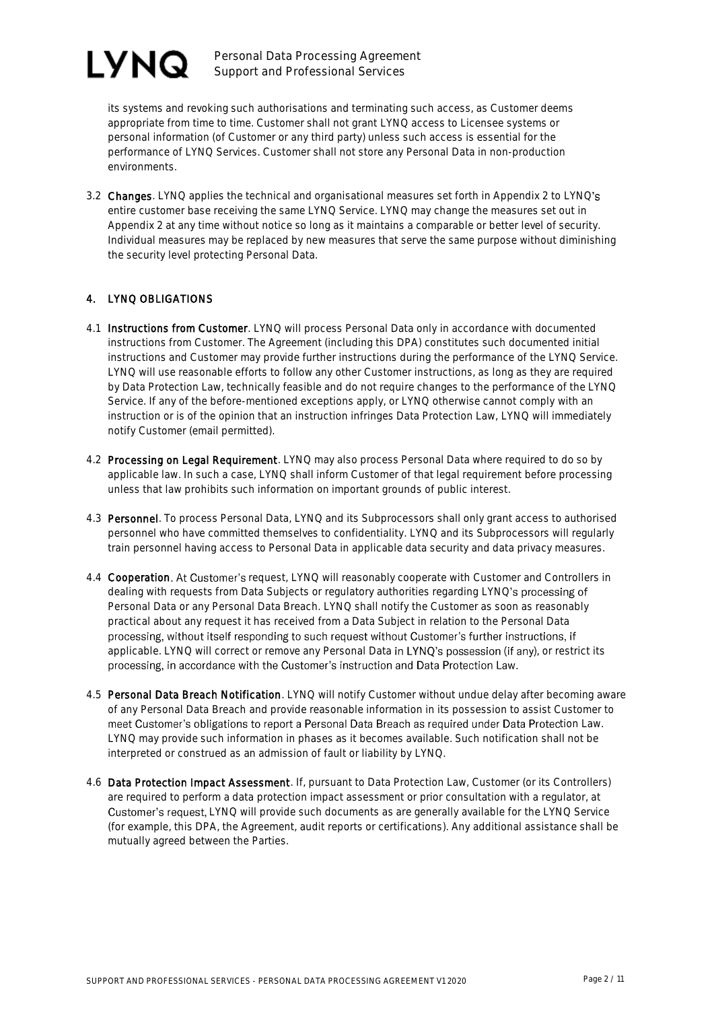

Personal Data Processing Agreement Support and Professional Services

its systems and revoking such authorisations and terminating such access, as Customer deems appropriate from time to time. Customer shall not grant LYNQ access to Licensee systems or personal information (of Customer or any third party) unless such access is essential for the performance of LYNQ Services. Customer shall not store any Personal Data in non-production environments.

3.2 Changes. LYNQ applies the technical and organisational measures set forth in Appendix 2 to LYNQ's entire customer base receiving the same LYNQ Service. LYNQ may change the measures set out in Appendix 2 at any time without notice so long as it maintains a comparable or better level of security. Individual measures may be replaced by new measures that serve the same purpose without diminishing the security level protecting Personal Data.

### 4. LYNQ OBLIGATIONS

- 4.1 Instructions from Customer. LYNQ will process Personal Data only in accordance with documented instructions from Customer. The Agreement (including this DPA) constitutes such documented initial instructions and Customer may provide further instructions during the performance of the LYNQ Service. LYNQ will use reasonable efforts to follow any other Customer instructions, as long as they are required by Data Protection Law, technically feasible and do not require changes to the performance of the LYNQ Service. If any of the before-mentioned exceptions apply, or LYNQ otherwise cannot comply with an instruction or is of the opinion that an instruction infringes Data Protection Law, LYNQ will immediately notify Customer (email permitted).
- 4.2 Processing on Legal Requirement. LYNQ may also process Personal Data where required to do so by applicable law. In such a case, LYNQ shall inform Customer of that legal requirement before processing unless that law prohibits such information on important grounds of public interest.
- 4.3 Personnel. To process Personal Data, LYNQ and its Subprocessors shall only grant access to authorised personnel who have committed themselves to confidentiality. LYNQ and its Subprocessors will regularly train personnel having access to Personal Data in applicable data security and data privacy measures.
- 4.4 Cooperation. At Customer's request, LYNQ will reasonably cooperate with Customer and Controllers in dealing with requests from Data Subjects or regulatory authorities regarding LYNQ's processing of Personal Data or any Personal Data Breach. LYNQ shall notify the Customer as soon as reasonably practical about any request it has received from a Data Subject in relation to the Personal Data processing, without itself responding to such request without Customer's further instructions, if applicable. LYNQ will correct or remove any Personal Data in LYNQ's possession (if any), or restrict its processing, in accordance with the Customer's instruction and Data Protection Law.
- 4.5 Personal Data Breach Notification. LYNQ will notify Customer without undue delay after becoming aware of any Personal Data Breach and provide reasonable information in its possession to assist Customer to meet Customer's obligations to report a Personal Data Breach as required under Data Protection Law. LYNQ may provide such information in phases as it becomes available. Such notification shall not be interpreted or construed as an admission of fault or liability by LYNQ.
- 4.6 Data Protection Impact Assessment. If, pursuant to Data Protection Law, Customer (or its Controllers) are required to perform a data protection impact assessment or prior consultation with a regulator, at Customer's request, LYNQ will provide such documents as are generally available for the LYNQ Service (for example, this DPA, the Agreement, audit reports or certifications). Any additional assistance shall be mutually agreed between the Parties.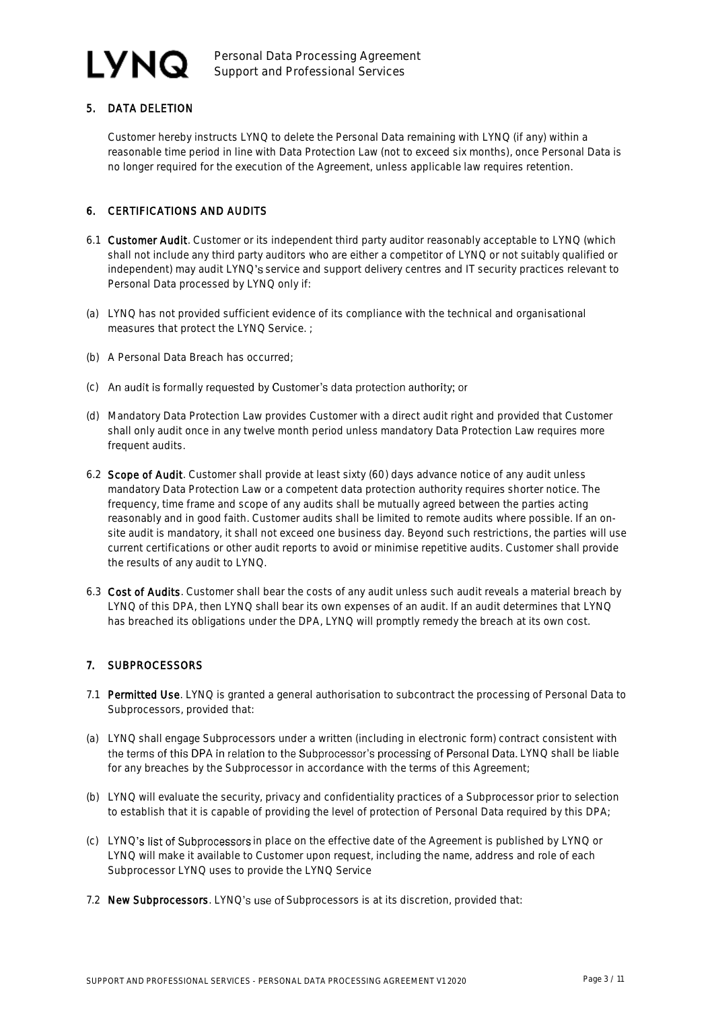## LYNQ

Personal Data Processing Agreement Support and Professional Services

### 5. DATA DELETION

Customer hereby instructs LYNQ to delete the Personal Data remaining with LYNQ (if any) within a reasonable time period in line with Data Protection Law (not to exceed six months), once Personal Data is no longer required for the execution of the Agreement, unless applicable law requires retention.

### 6. CERTIFICATIONS AND AUDITS

- 6.1 Customer Audit. Customer or its independent third party auditor reasonably acceptable to LYNQ (which shall not include any third party auditors who are either a competitor of LYNQ or not suitably qualified or independent) may audit LYNQ's service and support delivery centres and IT security practices relevant to Personal Data processed by LYNQ only if:
- (a) LYNQ has not provided sufficient evidence of its compliance with the technical and organisational measures that protect the LYNQ Service. ;
- (b) A Personal Data Breach has occurred;
- (c) An audit is formally requested by Customer's data protection authority; or
- (d) Mandatory Data Protection Law provides Customer with a direct audit right and provided that Customer shall only audit once in any twelve month period unless mandatory Data Protection Law requires more frequent audits.
- 6.2 Scope of Audit. Customer shall provide at least sixty (60) days advance notice of any audit unless mandatory Data Protection Law or a competent data protection authority requires shorter notice. The frequency, time frame and scope of any audits shall be mutually agreed between the parties acting reasonably and in good faith. Customer audits shall be limited to remote audits where possible. If an onsite audit is mandatory, it shall not exceed one business day. Beyond such restrictions, the parties will use current certifications or other audit reports to avoid or minimise repetitive audits. Customer shall provide the results of any audit to LYNQ.
- 6.3 Cost of Audits. Customer shall bear the costs of any audit unless such audit reveals a material breach by LYNQ of this DPA, then LYNQ shall bear its own expenses of an audit. If an audit determines that LYNQ has breached its obligations under the DPA, LYNQ will promptly remedy the breach at its own cost.

### 7. SUBPROCESSORS

- 7.1 Permitted Use. LYNQ is granted a general authorisation to subcontract the processing of Personal Data to Subprocessors, provided that:
- (a) LYNQ shall engage Subprocessors under a written (including in electronic form) contract consistent with the terms of this DPA in relation to the Subprocessor's processing of Personal Data. LYNQ shall be liable for any breaches by the Subprocessor in accordance with the terms of this Agreement;
- (b) LYNQ will evaluate the security, privacy and confidentiality practices of a Subprocessor prior to selection to establish that it is capable of providing the level of protection of Personal Data required by this DPA;
- (c) LYNQ's list of Subprocessors in place on the effective date of the Agreement is published by LYNQ or LYNQ will make it available to Customer upon request, including the name, address and role of each Subprocessor LYNQ uses to provide the LYNQ Service
- 7.2 New Subprocessors. LYNQ's use of Subprocessors is at its discretion, provided that: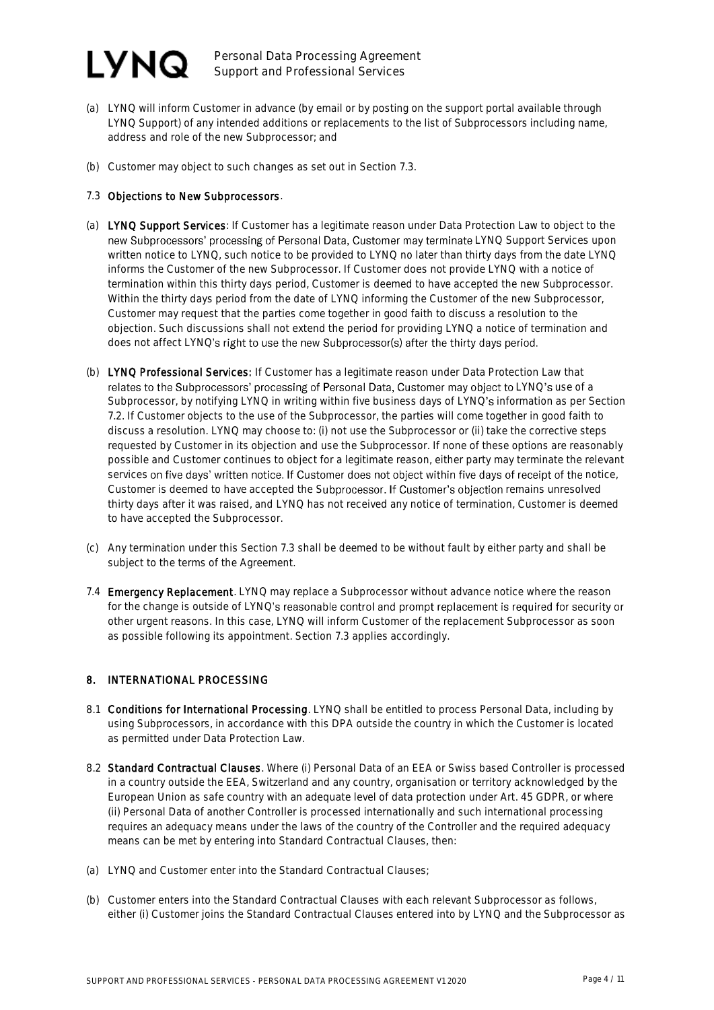### LYNQ.

Personal Data Processing Agreement Support and Professional Services

- (a) LYNQ will inform Customer in advance (by email or by posting on the support portal available through LYNQ Support) of any intended additions or replacements to the list of Subprocessors including name, address and role of the new Subprocessor; and
- (b) Customer may object to such changes as set out in Section 7.3.

### 7.3 Objections to New Subprocessors.

- (a) LYNQ Support Services: If Customer has a legitimate reason under Data Protection Law to object to the new Subprocessors' processing of Personal Data, Customer may terminate LYNQ Support Services upon written notice to LYNQ, such notice to be provided to LYNQ no later than thirty days from the date LYNQ informs the Customer of the new Subprocessor. If Customer does not provide LYNQ with a notice of termination within this thirty days period, Customer is deemed to have accepted the new Subprocessor. Within the thirty days period from the date of LYNQ informing the Customer of the new Subprocessor, Customer may request that the parties come together in good faith to discuss a resolution to the objection. Such discussions shall not extend the period for providing LYNQ a notice of termination and does not affect LYNQ's right to use the new Subprocessor(s) after the thirty days period.
- (b) LYNQ Professional Services: If Customer has a legitimate reason under Data Protection Law that relates to the Subprocessors' processing of Personal Data, Customer may object to LYNQ's use of a Subprocessor, by notifying LYNQ in writing within five business days of LYNQ's information as per Section 7.2. If Customer objects to the use of the Subprocessor, the parties will come together in good faith to discuss a resolution. LYNQ may choose to: (i) not use the Subprocessor or (ii) take the corrective steps requested by Customer in its objection and use the Subprocessor. If none of these options are reasonably possible and Customer continues to object for a legitimate reason, either party may terminate the relevant services on five days' written notice. If Customer does not object within five days of receipt of the notice, Customer is deemed to have accepted the Subprocessor. If Customer's objection remains unresolved thirty days after it was raised, and LYNQ has not received any notice of termination, Customer is deemed to have accepted the Subprocessor.
- (c) Any termination under this Section 7.3 shall be deemed to be without fault by either party and shall be subject to the terms of the Agreement.
- 7.4 Emergency Replacement. LYNQ may replace a Subprocessor without advance notice where the reason for the change is outside of LYNQ's reasonable control and prompt replacement is required for security or other urgent reasons. In this case, LYNQ will inform Customer of the replacement Subprocessor as soon as possible following its appointment. Section 7.3 applies accordingly.

### 8. INTERNATIONAL PROCESSING

- 8.1 Conditions for International Processing. LYNQ shall be entitled to process Personal Data, including by using Subprocessors, in accordance with this DPA outside the country in which the Customer is located as permitted under Data Protection Law.
- 8.2 Standard Contractual Clauses. Where (i) Personal Data of an EEA or Swiss based Controller is processed in a country outside the EEA, Switzerland and any country, organisation or territory acknowledged by the European Union as safe country with an adequate level of data protection under Art. 45 GDPR, or where (ii) Personal Data of another Controller is processed internationally and such international processing requires an adequacy means under the laws of the country of the Controller and the required adequacy means can be met by entering into Standard Contractual Clauses, then:
- (a) LYNQ and Customer enter into the Standard Contractual Clauses;
- (b) Customer enters into the Standard Contractual Clauses with each relevant Subprocessor as follows, either (i) Customer joins the Standard Contractual Clauses entered into by LYNQ and the Subprocessor as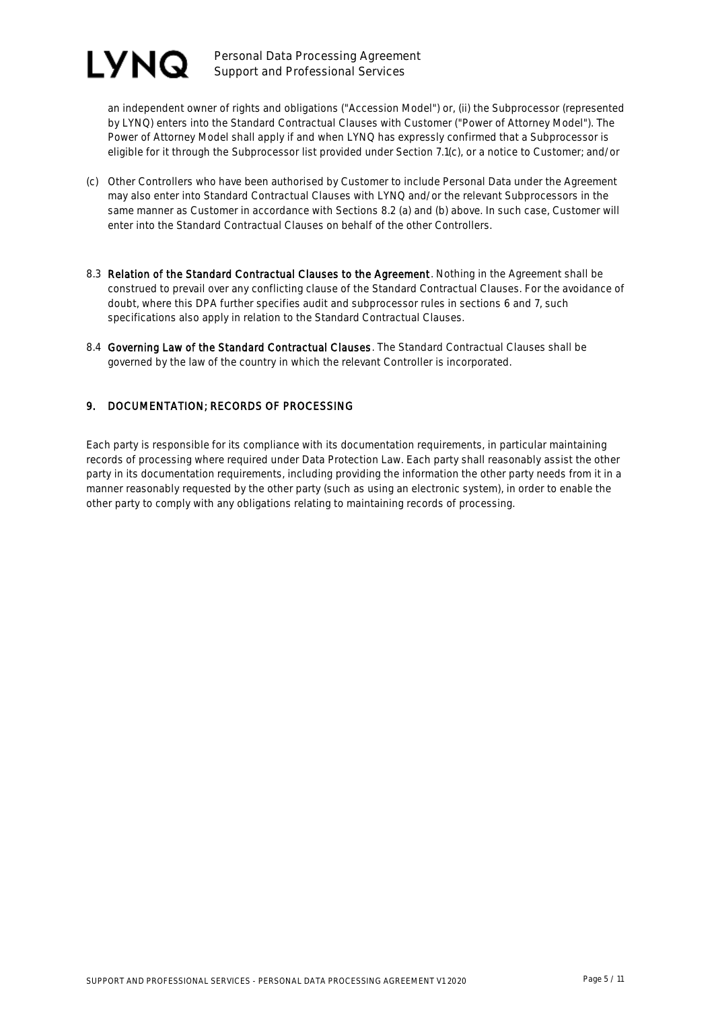

Personal Data Processing Agreement Support and Professional Services

an independent owner of rights and obligations ("Accession Model") or, (ii) the Subprocessor (represented by LYNQ) enters into the Standard Contractual Clauses with Customer ("Power of Attorney Model"). The Power of Attorney Model shall apply if and when LYNQ has expressly confirmed that a Subprocessor is eligible for it through the Subprocessor list provided under Section 7.1(c), or a notice to Customer; and/or

- (c) Other Controllers who have been authorised by Customer to include Personal Data under the Agreement may also enter into Standard Contractual Clauses with LYNQ and/or the relevant Subprocessors in the same manner as Customer in accordance with Sections 8.2 (a) and (b) above. In such case, Customer will enter into the Standard Contractual Clauses on behalf of the other Controllers.
- 8.3 Relation of the Standard Contractual Clauses to the Agreement. Nothing in the Agreement shall be construed to prevail over any conflicting clause of the Standard Contractual Clauses. For the avoidance of doubt, where this DPA further specifies audit and subprocessor rules in sections 6 and 7, such specifications also apply in relation to the Standard Contractual Clauses.
- 8.4 Governing Law of the Standard Contractual Clauses. The Standard Contractual Clauses shall be governed by the law of the country in which the relevant Controller is incorporated.

### 9. DOCUMENTATION; RECORDS OF PROCESSING

Each party is responsible for its compliance with its documentation requirements, in particular maintaining records of processing where required under Data Protection Law. Each party shall reasonably assist the other party in its documentation requirements, including providing the information the other party needs from it in a manner reasonably requested by the other party (such as using an electronic system), in order to enable the other party to comply with any obligations relating to maintaining records of processing.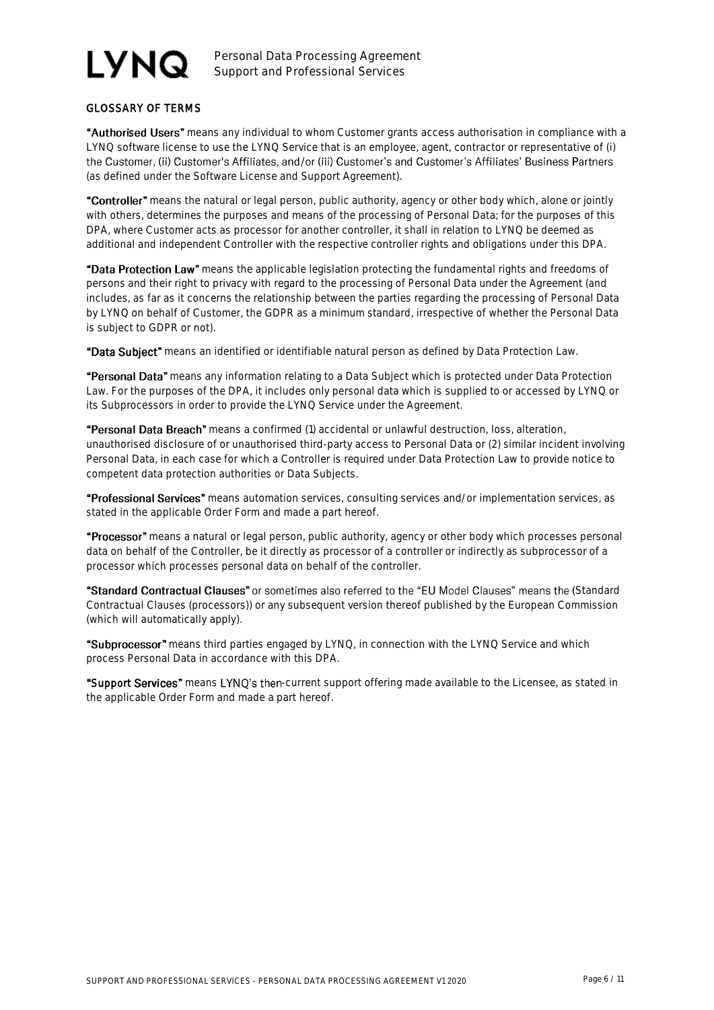# **LYNQ**

Personal Data Processing Agreement Support and Professional Services

### GLOSSARY OF TERMS

"Authorised Users" means any individual to whom Customer grants access authorisation in compliance with a LYNQ software license to use the LYNQ Service that is an employee, agent, contractor or representative of (i) the Customer, (ii) Customer's Affiliates, and/or (iii) Customer's and Customer's Affiliates' Business Partners (as defined under the Software License and Support Agreement).

"Controller" means the natural or legal person, public authority, agency or other body which, alone or jointly with others, determines the purposes and means of the processing of Personal Data; for the purposes of this DPA, where Customer acts as processor for another controller, it shall in relation to LYNQ be deemed as additional and independent Controller with the respective controller rights and obligations under this DPA.

"Data Protection Law" means the applicable legislation protecting the fundamental rights and freedoms of persons and their right to privacy with regard to the processing of Personal Data under the Agreement (and includes, as far as it concerns the relationship between the parties regarding the processing of Personal Data by LYNQ on behalf of Customer, the GDPR as a minimum standard, irrespective of whether the Personal Data is subject to GDPR or not).

"Data Subiect" means an identified or identifiable natural person as defined by Data Protection Law.

"Personal Data" means any information relating to a Data Subject which is protected under Data Protection Law. For the purposes of the DPA, it includes only personal data which is supplied to or accessed by LYNQ or its Subprocessors in order to provide the LYNQ Service under the Agreement.

"Personal Data Breach" means a confirmed (1) accidental or unlawful destruction, loss, alteration, unauthorised disclosure of or unauthorised third-party access to Personal Data or (2) similar incident involving Personal Data, in each case for which a Controller is required under Data Protection Law to provide notice to competent data protection authorities or Data Subjects.

"Professional Services" means automation services, consulting services and/or implementation services, as stated in the applicable Order Form and made a part hereof.

"Processor" means a natural or legal person, public authority, agency or other body which processes personal data on behalf of the Controller, be it directly as processor of a controller or indirectly as subprocessor of a processor which processes personal data on behalf of the controller.

"Standard Contractual Clauses" or sometimes also referred to the "EU Model Clauses" means the (Standard Contractual Clauses (processors)) or any subsequent version thereof published by the European Commission (which will automatically apply).

"Subprocessor" means third parties engaged by LYNQ, in connection with the LYNQ Service and which process Personal Data in accordance with this DPA.

"Support Services" means LYNQ's then-current support offering made available to the Licensee, as stated in the applicable Order Form and made a part hereof.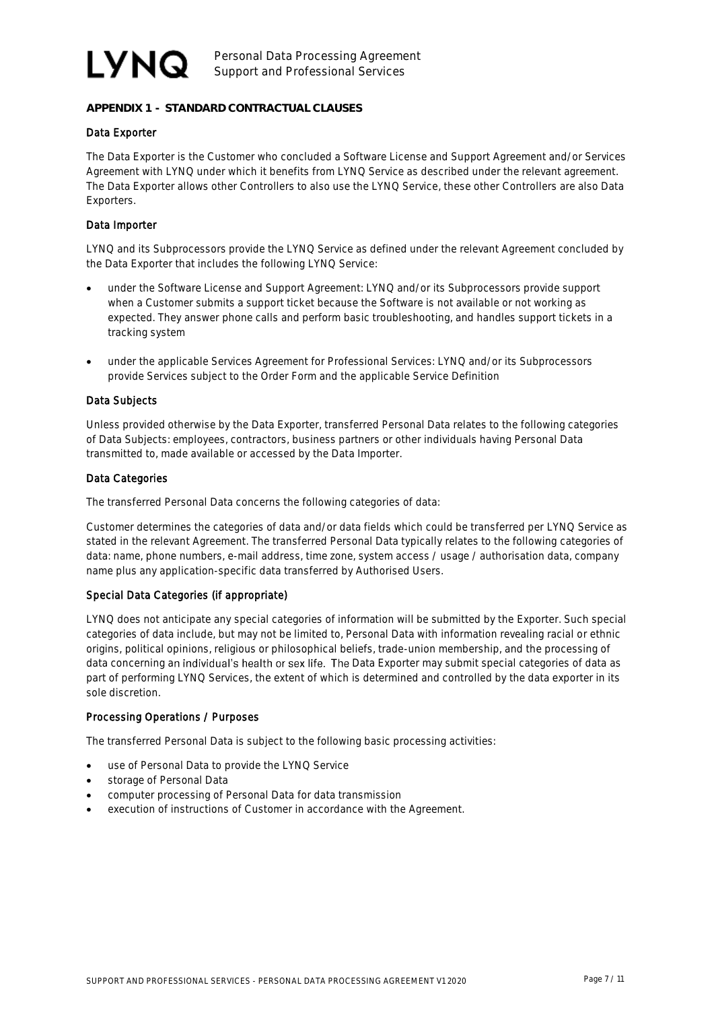# LYNQ

### **APPENDIX 1 - STANDARD CONTRACTUAL CLAUSES**

### Data Exporter

The Data Exporter is the Customer who concluded a Software License and Support Agreement and/or Services Agreement with LYNQ under which it benefits from LYNQ Service as described under the relevant agreement. The Data Exporter allows other Controllers to also use the LYNQ Service, these other Controllers are also Data Exporters.

### Data Importer

LYNQ and its Subprocessors provide the LYNQ Service as defined under the relevant Agreement concluded by the Data Exporter that includes the following LYNQ Service:

- under the Software License and Support Agreement: LYNQ and/or its Subprocessors provide support when a Customer submits a support ticket because the Software is not available or not working as expected. They answer phone calls and perform basic troubleshooting, and handles support tickets in a tracking system
- under the applicable Services Agreement for Professional Services: LYNQ and/or its Subprocessors provide Services subject to the Order Form and the applicable Service Definition

#### Data Subjects

Unless provided otherwise by the Data Exporter, transferred Personal Data relates to the following categories of Data Subjects: employees, contractors, business partners or other individuals having Personal Data transmitted to, made available or accessed by the Data Importer.

#### Data Categories

The transferred Personal Data concerns the following categories of data:

Customer determines the categories of data and/or data fields which could be transferred per LYNQ Service as stated in the relevant Agreement. The transferred Personal Data typically relates to the following categories of data: name, phone numbers, e-mail address, time zone, system access / usage / authorisation data, company name plus any application-specific data transferred by Authorised Users.

### Special Data Categories (if appropriate)

LYNQ does not anticipate any special categories of information will be submitted by the Exporter. Such special categories of data include, but may not be limited to, Personal Data with information revealing racial or ethnic origins, political opinions, religious or philosophical beliefs, trade-union membership, and the processing of data concerning an individual's health or sex life. The Data Exporter may submit special categories of data as part of performing LYNQ Services, the extent of which is determined and controlled by the data exporter in its sole discretion.

#### Processing Operations / Purposes

The transferred Personal Data is subject to the following basic processing activities:

- use of Personal Data to provide the LYNQ Service
- storage of Personal Data
- computer processing of Personal Data for data transmission
- execution of instructions of Customer in accordance with the Agreement.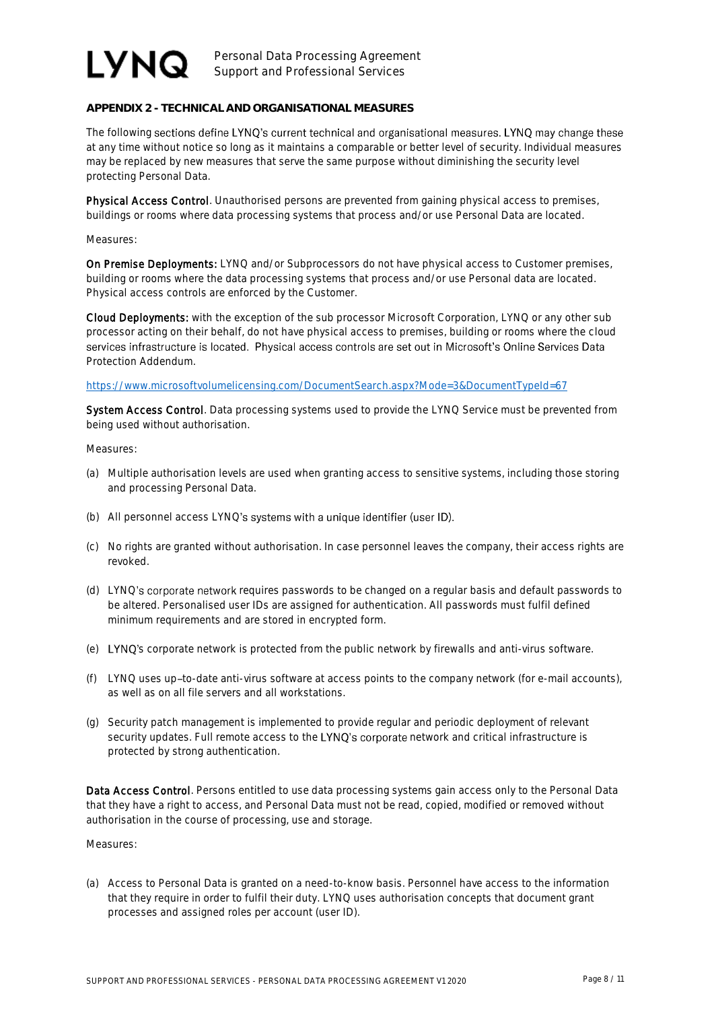## LYNQ.

Personal Data Processing Agreement Support and Professional Services

**APPENDIX 2 - TECHNICAL AND ORGANISATIONAL MEASURES**

The following sections define LYNQ's current technical and organisational measures. LYNQ may change these at any time without notice so long as it maintains a comparable or better level of security. Individual measures may be replaced by new measures that serve the same purpose without diminishing the security level protecting Personal Data.

Physical Access Control. Unauthorised persons are prevented from gaining physical access to premises, buildings or rooms where data processing systems that process and/or use Personal Data are located.

Measures:

On Premise Deployments: LYNQ and/or Subprocessors do not have physical access to Customer premises, building or rooms where the data processing systems that process and/or use Personal data are located. Physical access controls are enforced by the Customer.

Cloud Deployments: with the exception of the sub processor Microsoft Corporation, LYNQ or any other sub processor acting on their behalf, do not have physical access to premises, building or rooms where the cloud services infrastructure is located. Physical access controls are set out in Microsoft's Online Services Data Protection Addendum.

<https://www.microsoftvolumelicensing.com/DocumentSearch.aspx?Mode=3&DocumentTypeId=67>

System Access Control. Data processing systems used to provide the LYNQ Service must be prevented from being used without authorisation.

Measures:

- (a) Multiple authorisation levels are used when granting access to sensitive systems, including those storing and processing Personal Data.
- (b) All personnel access LYNQ's systems with a unique identifier (user ID).
- (c) No rights are granted without authorisation. In case personnel leaves the company, their access rights are revoked.
- (d) LYNQ's corporate network requires passwords to be changed on a regular basis and default passwords to be altered. Personalised user IDs are assigned for authentication. All passwords must fulfil defined minimum requirements and are stored in encrypted form.
- (e) LYNQ's corporate network is protected from the public network by firewalls and anti-virus software.
- (f) LYNQ uses up-to-date anti-virus software at access points to the company network (for e-mail accounts), as well as on all file servers and all workstations.
- (g) Security patch management is implemented to provide regular and periodic deployment of relevant security updates. Full remote access to the LYNQ's corporate network and critical infrastructure is protected by strong authentication.

Data Access Control. Persons entitled to use data processing systems gain access only to the Personal Data that they have a right to access, and Personal Data must not be read, copied, modified or removed without authorisation in the course of processing, use and storage.

Measures:

(a) Access to Personal Data is granted on a need-to-know basis. Personnel have access to the information that they require in order to fulfil their duty. LYNQ uses authorisation concepts that document grant processes and assigned roles per account (user ID).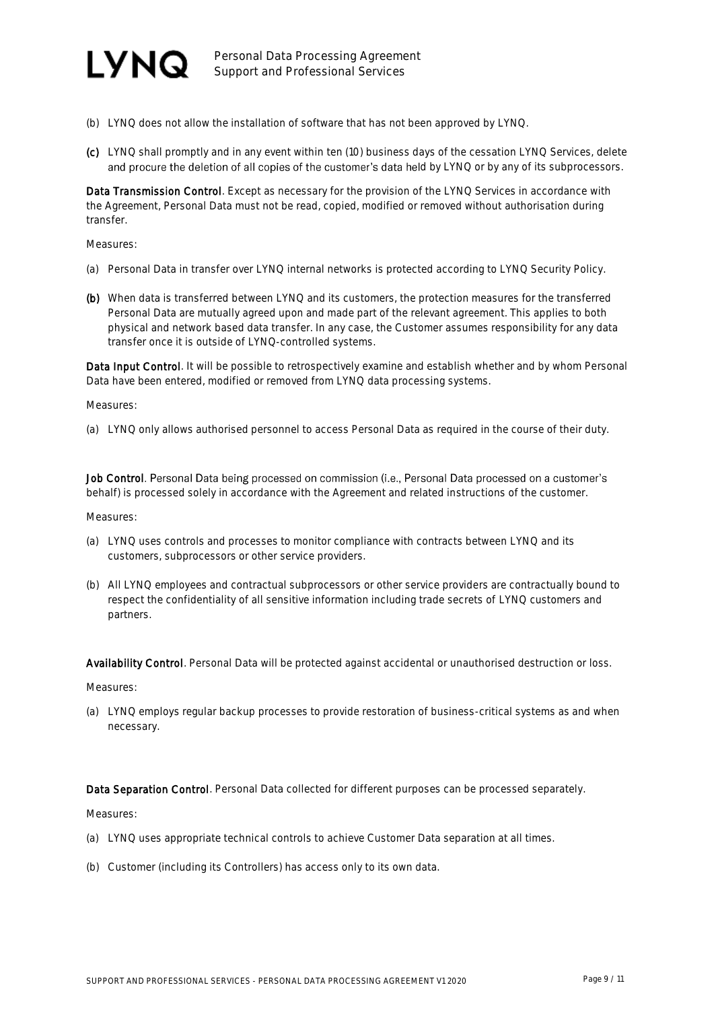

- (b) LYNQ does not allow the installation of software that has not been approved by LYNQ.
- (c) LYNQ shall promptly and in any event within ten (10) business days of the cessation LYNQ Services, delete and procure the deletion of all copies of the customer's data held by LYNQ or by any of its subprocessors.

Data Transmission Control. Except as necessary for the provision of the LYNQ Services in accordance with the Agreement, Personal Data must not be read, copied, modified or removed without authorisation during transfer.

Measures:

- (a) Personal Data in transfer over LYNQ internal networks is protected according to LYNQ Security Policy.
- (b) When data is transferred between LYNQ and its customers, the protection measures for the transferred Personal Data are mutually agreed upon and made part of the relevant agreement. This applies to both physical and network based data transfer. In any case, the Customer assumes responsibility for any data transfer once it is outside of LYNQ-controlled systems.

Data Input Control. It will be possible to retrospectively examine and establish whether and by whom Personal Data have been entered, modified or removed from LYNQ data processing systems.

Measures:

(a) LYNQ only allows authorised personnel to access Personal Data as required in the course of their duty.

Job Control. Personal Data being processed on commission (i.e., Personal Data processed on a customer's behalf) is processed solely in accordance with the Agreement and related instructions of the customer.

Measures:

- (a) LYNQ uses controls and processes to monitor compliance with contracts between LYNQ and its customers, subprocessors or other service providers.
- (b) All LYNQ employees and contractual subprocessors or other service providers are contractually bound to respect the confidentiality of all sensitive information including trade secrets of LYNQ customers and partners.

Availability Control. Personal Data will be protected against accidental or unauthorised destruction or loss.

Measures:

(a) LYNQ employs regular backup processes to provide restoration of business-critical systems as and when necessary.

Data Separation Control. Personal Data collected for different purposes can be processed separately.

Measures:

- (a) LYNQ uses appropriate technical controls to achieve Customer Data separation at all times.
- (b) Customer (including its Controllers) has access only to its own data.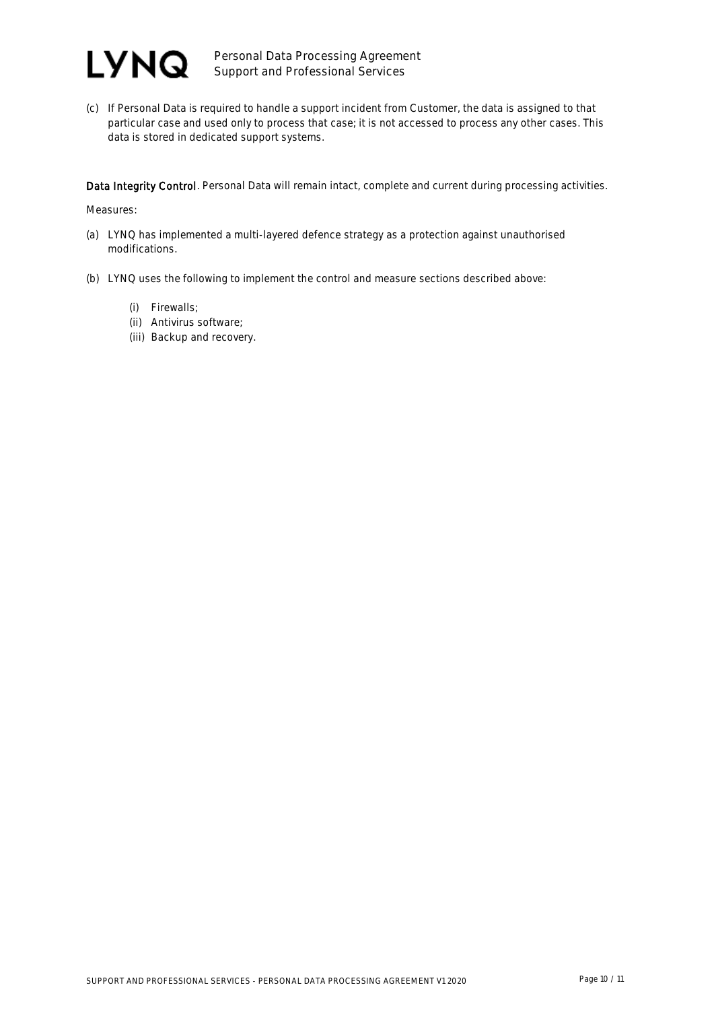

(c) If Personal Data is required to handle a support incident from Customer, the data is assigned to that particular case and used only to process that case; it is not accessed to process any other cases. This data is stored in dedicated support systems.

Data Integrity Control. Personal Data will remain intact, complete and current during processing activities.

Measures:

- (a) LYNQ has implemented a multi-layered defence strategy as a protection against unauthorised modifications.
- (b) LYNQ uses the following to implement the control and measure sections described above:
	- (i) Firewalls;
	- (ii) Antivirus software;
	- (iii) Backup and recovery.